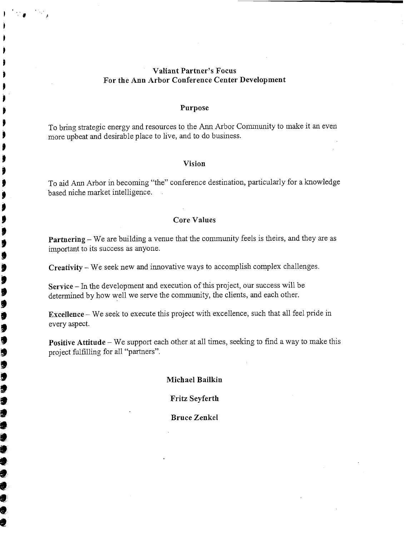#### **Valiant Partner's Focus For the Ann Arbor Conference Center Development**

#### **Purpose**

To bring strategic energy and resources to the Ann Arbor Community to make it an even more upbeat and desirable place to live, and to do business.

#### **Vision**

To aid Ann Arbor in becoming "the" conference destination, particularly for a knowledge based niche market intelligence.

#### **Core Values**

**Partnering** – We are building a venue that the community feels is theirs, and they are as important to its success as anyone.

**Creativity** - We seek new and innovative ways to accomplish complex challenges.

**Service** – In the development and execution of this project, our success will be determined by how well we serve the community, the clients, and each other.

∮

ÿ  $\bullet$ g 9 g J 9 J Ç 5 9 Ü 1 9 1 ā

1 ₫ 9 ŧ **Excellence** - We seek to execute this project with excellence, such that all feel pride in every aspect.

**Positive Attitude** – We support each other at all times, seeking to find a way to make this project fulfilling for all "partners".

#### **Michael Bailkin**

**Fritz Seyferth** 

**Bruce Zenkel**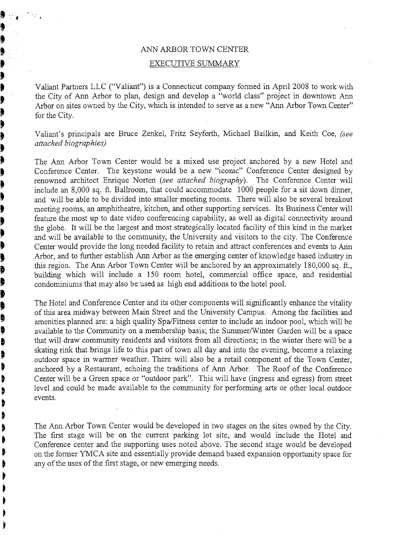## ANN ARBOR TOWN CENTER

### **b** EXECUTIVE SUMMARY

**b** 

**k?** 

þ Þ

þ

þ þ  $\blacklozenge$ þ þ þ þ þ Ņ þ þ þ þ þ þ þ ₿ ₿ ₿ Ì Ì

**<sup>b</sup>**Valiant Partners LLC ("Valiant") is a Connecticut company formed in April 2008 to work with the City of Ann Arbor to plan, design and develop a "world class" project in downtown Ann Arbor on sites owned by the City, which is intended to serve as a new "Ann Arbor Town Center"<br>
for the City for the City.

**<sup>4</sup>**Valiant's principals are Bruce Zenkel, Fritz Seyferth, Michael Bailkin, and Keith Coe, *(see*  **B** attached biographies)<br> **B** The Ann Arbor Tow

The Ann Arbor Town Center would be a mixed use project anchored by a new Hotel and Conference Center. The keystone would be a new "iconic" Conference Center designed by renowned architect Enrique Norten (see attached biography). The Conference Center will include an 8,000 sq. ft. Ballroom, that could accommodate  $1000$  people for a sit down dinner, and will be able to be divided into smaller meeting rooms. There will also be several breakout meeting rooms, an amphitheatre, kitchen, and other supporting services. Its Business Center will feature the most up to date video conferencing capability, as well as digital connectivity around the globe. It will be the largest and most strategically located facility of this kind in the market and will be available to the community, the University and visitors to the city. The Conference Center would provide the long needed facility to retain and attract conferences and events to Ann Arbor, and to further establish Ann Arbor as the emerging center of knowledge based industry in this region. The Ann Arbor Town Center will be anchored by an approximately 180,000 sq. ft., building which will include a 150 room hotel, commercial office space, and residential condominiums that may also be used as high end additions to the hotel pool.

The Hotel and Conference Center and its other components will significantly enhance the vitality of this area midway between Main Street and the University Campus. Among the facilities and amenities planned are: a high quality Spa/Fitness center to include an indoor pool, which will be available to the Community on a membership basis; the Summer/Winter Garden will be a space that will draw community residents and visitors from all directions; in the winter there will be a skating rink that brings life to this part of town all day and into the evening become a relaxing outdoor space in waimer weather. There will also be a retail component of the Town Center, anchored by a Restaurant, echoing the traditions of Ann Arbor. The Roof of the Conference Center will be a Green space or "outdoor park". This will have (ingress and egress) from street level and could be made available to the community for performing arts or other local outdoor events.

The Ann. Arbor Town Center would be developed in two stages on the sites owned by the City. The first stage will be on the current parking lot site, and would include the Hotel and Conference center and the supporting uses noted above. The second stage would be developed on the former YMCA site and essentially provide demand based expansion opportunity space for any of the uses of the first stage, or new emerging needs.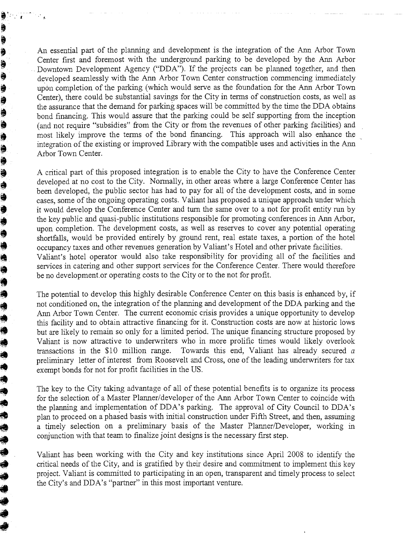An essential part of the planning and development is the integration of the Ann Arbor Town Center first and foremost with the underground parking to be developed by the Ann Arbor Downtown Development Agency ("DDA"). If the projects can be planned together, and then developed searnlessly with the Ann Arbor Town Center construction commencing immediately upon completion of the parking (which would serve as the foundation for the Ann Arbor Town Center), there could be substantial savings for the City in terms of construction costs, as well as the assurance that the demand for parking spaces will be committed by the time the DDA obtains bond financing. This would assure that the parking could be self supporting from the inception (and not require "subsidies" from the City or from the revenues of other parking facilities) and most likely improve the terms of the bond financing. This approach will also enhance the integration of the existing or improved Library with the compatible uses and activities in the Ann Arbor Town Center.

İ \$ ¢ i (B Ì ¢ þ Ş 9 \$ ð \$ 9 Í ð \$ ۸ ¢

♦ ♦ Ó ۱

A critical part of this proposed integration is to enable the City to have the Conference Center developed at no cost to the City. Normally, in other areas where a large Conference Center has been developed, the public sector has had to pay for all of the development costs, and in some cases, some of the ongoing operating costs. Valiant has proposed a unique approach under which it would develop the Conference Center and turn the same over to a not for profit entity run by the key public and quasi-public institutions responsible for promoting conferences in Ann Arbor, upon completion. The development costs, as well as reserves to cover any potential operating shortfalls, would be provided entirely by ground rent, real estate taxes, a portion of the hotel occupancy taxes and other revenues generation by Valiant's Hotel and other private facilities. Valiant's hotel operator would also take responsibility for providing all of the facilities and services in catering and other support services for the Conference Center. There would therefore be no development.or operating costs to the City or to the not for profit.

The potential to develop this highly desirable Conference Center on this basis is enhanced by, if not conditioned on, the integration of the planning and development of the DDA parking and the Ann Arbor Town Center. The current economic crisis provides a unique opportunity to develop this facility and to obtain attractive financing for it. Construction costs are now at historic lows but are likely to remain so only for a limited period. The unique financing structure proposed by Valiant is now attractive to underwriters who in more prolific times would likely overlook transactions in the \$10 million range. Towards this end, Valiant has already secured a preliminary letter of interest from Roosevelt and Cross, one of the leading underwriters for tax exempt bonds for not for profit facilities in the US. **a** not conditioned on, the integration of the planning and development of the DDA parking ond the Amm Arbor Town Center. The current economic crisis provides a unique opportunity to develop by the aniso only for a limite

The key to the City taking advantage of all of these potential benefits is to organize its process for the selection of a Master Planner/developer of the Ann Arbor Town Center to coincide with the planning and implementation of DDA's parking. The approval of City Council to DDA's plan to proceed on a phased basis with initial construction under Fifth Street, and then, assuming a timely selection on a preliminary basis of the Master Planner/Developer, working in conjunction with that team to fmalize joint designs is the necessary first step.

critical needs of the City, and is gratified by their desire and commitment to implement this key **a** project. Valiant is committed to participating in an open, transparent and timely process to select the City's and DDA's "partner" in this most important venture.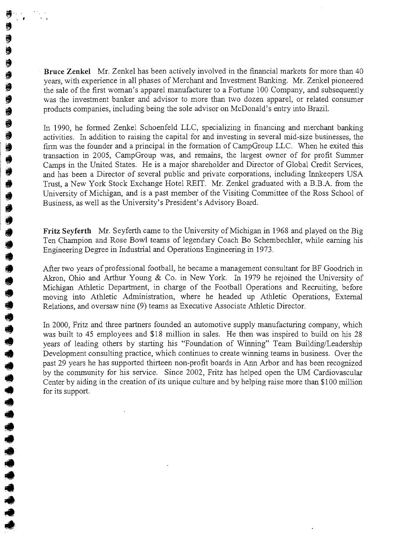**Bruce Zenkel** .Mr. Zenkel has been actively involved in the financial markets for more than 40 years, with experience in all phases of Merchant and Investment Banking. Mr. Zenkel pioneered the sale of the first woman's apparel manufacturer to a Fortune 100 Company, and subsequently was the investment banker and advisor to more than two dozen apparel, or related consumer products companies, including being the sole advisor on McDonald's entry into Brazil.

 $\ddot{\phantom{a}}$ 0 €  $\Rightarrow$ đ  $\ddot{\bullet}$ € ♦

きゅうきききききゅうきききききききょ

In 1990, he formed Zenkel Schoenfeld LLC, specializing in financing and merchant banking activities. In addition to raising the capital for and investing in several mid-size businesses, the firm was the founder and a principal in the formation of CampGroup LLC. When he exited this transaction in 2005, CampGroup was, and remains, the largest owner of for profit Summer Camps in the United States. He is a major shareholder and Director of Global Credit Services, and has been a Director of several public and private corporations, including Innlceepers USA Tnist, a New York Stock Exchange Hotel REIT. Mr. Zenkel graduated with a B.B.A. from the University of Michigan, and is a past member of the Visiting Committee of the Ross School of Business, as well as the University's President's Advisory Board.

**Fritz Seyferth** Mr. Seyferth came to the University of Michigan in 1968 and played on the Big Ten Champion and Rose Bowl teams of legendary Coach Bo Schembechler, while earning his Engineering Degree in Industrial and Operations Engineering in 1973.

After two years of professional football, he became a management consultant for BF Goodrich in Akron, Ohio and Arthur Young & Co. in New York. In 1979 he rejoined the University of Michigan Athletic Department, in charge of the Football Operations and Recruiting, before moving into Athletic Administration, where he headed up Athletic Operations, External Relations, and oversaw nine (9) teams as Executive Associate Athletic Director.

In 2000, Fritz and three partners founded an automotive supply manufacturing company, which was built to 45 employees and  $$18$  million in sales. He then was inspired to build on his 28 years of leading others by starting his "Foundation of Winning" Team Building/Leadership Development consulting practice, which continues to create winning teams in business. Over the past 29 years he has supported thirteen non-profit boards in Ann Arbor and has been recognized by the community for lis service. Since 2002, Fritz has helped open the UM Cardiovascular Center by aiding in the creation of its unique culture and by helping raise more than \$1 00 million for its support.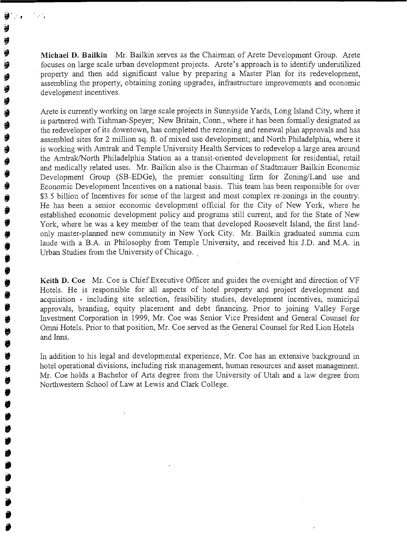**Michael D. Bailkin** Mr. Bailkin serves as the Chairman of Arete Developinent Group. Arete focuses on large scale urban development projects. Arete's approach is to identify underutilized property and then add significant value by preparing a Master Plan for its redevelopment, assembling the property, obtaining zoning upgrades, infrastructure improvements and economic development incentives.

Arete is currently working on large scale projects in Sunnyside Yards, Long Island City, where it is partnered with Tishrnan-Speyer; New Britain, Conn., where it has been formally designated as the redeveloper of its downtown, has completed the rezoning and renewal plan approvals and has assembled sites for 2 million sq. ft. of mixed use development; and North Philadelphia, where it is working with Amtrak and Temple University Health Services to redevelop a large area around the Amtrak/North Philadelphia Station as a transit-oriented development for residential, retail and medically related uses. Mr. Bailkin also is the Chairman of Stadtmauer Bailkin Economic Development Group (SB-EDGe), the premier consulting firm for Zoning/Land use and Economic Development Incentives on a national basis. This team has been responsible for over \$3.5 billion of Incentives for some of the largest and most complex re-zonings in the country. He has been a senior economic development official for the City of New York, where he established economic development policy and programs still current, and for the State of New York, where he was a key member of the team that developed Roosevelt Island, the first landonly master-planned new community in New York City. Mr. Bailkin graduated summa cum laude with a B.A. in Philosophy from Temple University, and received his J.D. and M.A. in Urban Studies from the University of Chicago.

Keith D. **Coe** Mr. Coe is Chief Executive Officer and guides the oversight and direction of VF Hotels, He is responsible for all aspects of hotel property and project development and acquisition - including site selection, feasibility studies, development incentives, municipal approvals, branding, equity placement and debt financing. Prior to joining Valley Forge Investment Corporation in 1999, Mr. Coe was Senior Vice President and General Counsel for Omni Hotels. Prior to that position, Mr. Coe served as the General Counsel for Red Lion Hotels and Inns.

In addition to his legal and developmental experience, Mr. Coe has an extensive background in hotel operational divisions, including risk management, human resources and asset management. Mr. Coe holds a Bachelor of Arts degree from the University of Utah and a law degree from Northwestern School of Law at Lewis and Clark College.

**0 lB**  *8*  **Y Y B iB ea iB**  @ **9 0** 

 $\mathbb{R}^+$ 

 $\ddot{\phantom{1}}$  $\ddot{\bullet}$ € € Ü €  $\ddot{\phantom{0}}$ ŧ 9 Î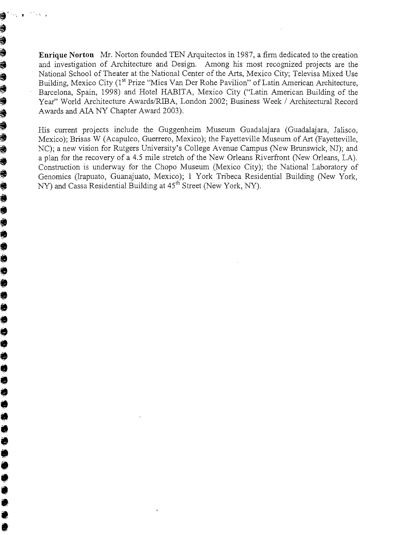**Enrique Norton** Mr. Norton founded TEN Arquitectos in 1987, a firm dedicated to the creation and investigation of Architecture and Design. Among his most recognized projects are the National School of Theater at the National Center of the Arts, Mexico City; Televisa Mixed Use Building, Mexico City (1" Prize "Mies Van Der Rohe Pavilion" of Latin American Architecture, Barcelona, Spain, 1998) and Hotel HABITA, Mexico City ("Latin American Building of the Year" World Architecture Awards/RIBA, London 2002; Business Week / Architectural Record Awards and AIA NY Chapter Award 2003).

**Example Norton** Mr. Norton founded TEN Arquitectos in 1987, a firm dedicated to the creation and investigation of Architecture and Design. Among his most recognized projects are the National School of Theater at the Nati Mexico); Brisas W (Acapulco, Guerrero, Mexico); the Fayetteville Museum of Art (Fayetteville, NC); a new vision for Rutgers University's College Avenue Campus (New Brunswick, NJ); and a plan for the recovery of a 4.5 mile stretch of the New Orleans Riverfront (New Orleans, LA).<br>Construction is underway for the Chopo Museum (Mexico City); the National Laboratory of Genomics (Irapuato, Guanajuato, Mexico); 1 York Tribeca Residential Building (New York, NY) and Cassa Residential Building at 45<sup>th</sup> Street (New York, NY).

@ **8** 

J

]\$r **d**  *I*  @ @ @ **49 e a**  ? **4 e a Is**   $\ddot{\bullet}$ **a!# a a a ip, b**  @ @

**C** 

@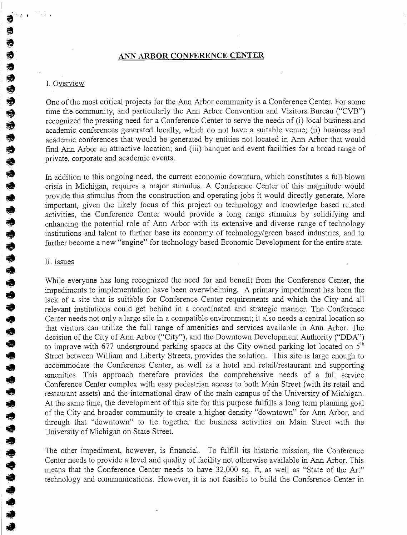#### **ANN ARBOR CONFERENCE CENTER**

€ € Î

**9**<br> **1** Overview<br>
One of the n<br>
time the correcognized t<br>
academic co<br>
academic co<br>
find Ann Ar @ One of the most critical projects for the Ann Arbor conmunity is a Conference Center. For some time the community, and particularly the Ann Arbor Convention and Visitors Bureau ("CVB") recognized the pressing need for a Conference Center to serve the needs of (i) local business and recognized the pressing need for a Conference Center to serve the needs of (i) local business and academic conferences generated locally, which do not have a suitable venue; (ii) business and academic conferences that would be generated by entities not located in Ann Arbor that would find Ann Arbor an attractive location; and (iii) banquet and event facilities for a broad range of private, corporate and academic events.

private, corporate and academic events.<br>
In addition to this ongoing need, the currisis in Michigan, requires a major st In addition to this ongoing need, the current economic downturn, which constitutes a full blown **a** crisis in Michigan, requires a major stimulus. A Conference Center of this magnitude would provide this stimulus from the construction and operating jobs it would directly generate. More<br>important, given the likely focus of this project on technology and knowledge based related<br>a long range stimulus by solidifyi important, given the likely focus of this project on technology and knowledge based related<br>activities, the Conference Center would provide a long range stimulus by solidifying and activities, the Conference Center would provide a long range stimulus by soliditying and<br>enhancing the potential role of Ann Arbor with its extensive and diverse range of technology<br>institutions and talent to further base institutions and talent to further base its economy of technology/green based industries, and to **e** further become a new "engine" for technology based Economic Development for the entire state.<br>
ILLISSUES

#### 11. Issues

きゅうううきゅうききききゅうきききき

While everyone has long recognized the need for and benefit from the Conference Center, the impediments to implementation have been overwhelming. A primary impediment has been the lack of a site that is suitable for Conference Center requirements and which the City and all relevant institutions could get behind in a coordinated and strategic manner. The Conference Center needs not only a large site in a compatible environment; it also needs a central location so that visitors can utilize the full range of amenities and services available in Ann Arbor. The decision of the City of Ann Arbor ("City"), and the Downtown Development Authority ("DDA") to improve with 677 underground parking spaces at the City owned parking lot located on 5<sup>th</sup> Street between William and Liberty Streets, provides the solution. This site is large enough to accommodate the Conference Center, as well as a hotel and retail/restaurant and supporting amenities. This approach therefore provides the comprehensive needs of a full service Conference Center complex with easy pedestrian access to both Main Street (with its retail and restaurant assets) and the international draw of the main campus of the University of Michigan. At the same time, the development of this site for this purpose fulfills a long term planning goal of the City and broader community to create a higher density "downtown" for Ann Arbor, and tlxough that "downtown" to tie together the business activities on Main Street with the University of Michigan on State Street.

The other impediment, however, is financial. To fulfill its historic mission, the Conference<br>Center needs to provide a level and quality of facility not otherwise available in Ann Arbor. This<br>means that the Conference Cent means that the Conference Center needs to have 32,000 sq. **ft,** as well as "State of the Art" technology and communications. However, it is not feasible to build the Conference Center in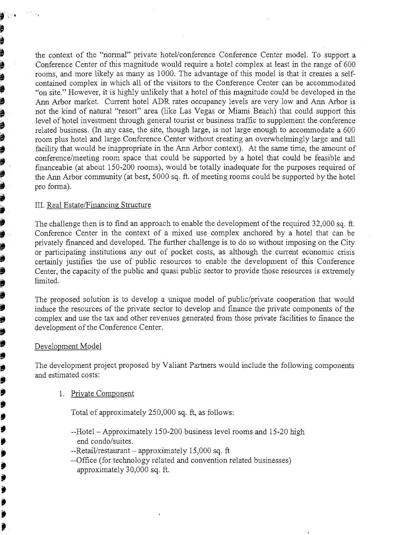the context of the "normal" private hotel/conference Conference Center model. To support a Conference Center of this magnitude would require a hotel complex at least in the range of 600 rooms, and more likely as many as 1000. The advantage of this model is that it creates a selfcontained complex in which all of the visitors to the Conference Center can be accommodated "on site." However, it is highly unlikely that a hotel of this magnitude could be developed in the Ann Arbor market. Current hotel ADR rates occupancy levels are very low and Ann Arbor is not the kind of natural "resort" area (like Las Vegas or Miami Beach) that could support this level of hotel investment through general tourist or business traffic to supplement the conference related business. (In any case, the site, though large, is not large enough to accommodate a 600 room plus hotel and large Conference Center without creating an overwhelmingly large and tall facility that would be inappropriate in the Ann Arbor context). At the same time, the amount of conference/meeting room space that could be supported by a hotel that could be feasible and financeable (at about 150-200 rooms), would be totally inadequate for the purposes required of the Ann Arbor community (at best, 5000 sq. ft. of meeting rooms could be supported by the hotel pro forma).

#### III. Real Estate/Financing Structure

þ þ þ þ ,<br>∌

a a a a a a a a

ð,

j

.<br>.<br>.<br>.<br>.<br>.<br>.<br>.<br>.<br>.<br>.<br>.

₿ Ø Ď Ĵ ₿ ŷ ♦ Ď ₱ Ö j € Ď Ï

The challenge then is to find an approach to enable the development of the required 32,000 sq. ft. Conference Center in the context of a mixed use complex anchored by a hotel that can be privately financed and developed. The further challenge is to do so without imposing on the City or participating institutions any out of pocket costs, as although the current economic crisis certainly justifies the use of public resources to enable the development of this Conference Center, the capacity of the public and quasi public sector to provide those resources is extremely limited.

The proposed solution is to develop a unique model of public/private cooperation that would induce the resources of the private sector to develop and finance the private components of the complex and use the tax and other revenues generated from those private facilities to finance the development of the Conference Center.

#### Development Model

The development project proposed by Valiant Partners would include the following components and estimated costs:

1. Private Component

Total of approximately 250,000 sq. ft, as follows:

- --Hotel Approximately 150-200 business level rooms and 15-20 high end condo/suites.
- $-$ Retail/restaurant approximately 15,000 sq. ft
- --Office (for technology related and convention related businesses) approximately 30,000 sq. ft.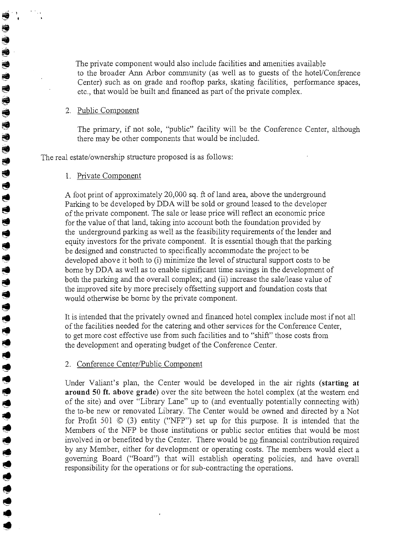The private component would also include facilities and amenities available to the broader Ann Arbor community (as well as to guests of the hotel/Conference Center) such as on grade and rooftop parks, skating facilities, performance spaces, etc., that would be built and financed as part of the private complex.

#### 2. Public Component

司司

医医牙手舌舌舌

 $\ddot{\bullet}$  $\bigcirc$  $\ddot{\bullet}$  $\blacklozenge$  $\ddot{\phantom{a}}$  $\ddot{\bullet}$  $\bullet$  $\bigcirc$  $\ddot{\phantom{1}}$  $\ddot{\bullet}$  $\ddot{\bullet}$  $\bigcirc$  $\ddot{\phantom{a}}$  $\bullet$  $\blacklozenge$ 

ちゅうろうきゅうりききゅう

The primary, if not sole, "public" facility will be the Conference Center, although there may be other components that would be included.

The real estate/ownership structure proposed is as follows:

#### 1. Private Component

A foot print of approximately 20,000 sq. ft of land area, above the underground Parking to be developed by DDA will be sold or ground leased to the developer of the private component. The sale or lease price will reflect an economic price for the value of that land, taking into account both the foundation provided by the underground parking as well as the feasibility requirements of the lender and equity investors for the private component. It is essential though that the parking be designed and constructed to specifically accommodate the project to be developed above it both to (i) minimize the level of structural support costs to be borne by DDA as well as to enable significant time savings in the development of both the parking and the overall complex; and (ii) increase the sale/lease value of the improved site by more precisely offsetting support and foundation costs that would otherwise be borne by the private component.

It is intended that the privately owned and financed hotel complex include most if not all of the facilities needed for the catering and other services for the Conference Center, to get more cost effective use from such facilities and to "shift" those costs from the development and operating budget of the Conference Center.

#### 2. Conference Center/Public Component

Under Valiant's plan, the Center would be developed in the air rights (starting at around 50 ft. above grade) over the site between the hotel complex (at the western end of the site) and over "Library Lane" up to (and eventually potentially connecting with) the to-be new or renovated Library. The Center would be owned and directed by a Not for Profit 501  $\odot$  (3) entity ("NFP") set up for this purpose. It is intended that the Members of the NFP be those institutions or public sector entities that would be most involved in or benefited by the Center. There would be no financial contribution required by any Member, either for development or operating costs. The members would elect a governing Board ("Board") that will establish operating policies, and have overall responsibility for the operations or for sub-contracting the operations.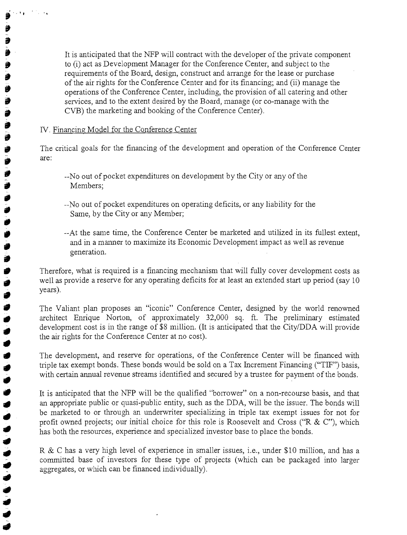It is anticipated that the NFP will contract with the developer of the private component to (i) act as Development Manager for the Conference Center, and subject to the requirements of the Board, design, construct and arrange for the lease or purchase of the air rights for the Conference Center and for its financing; and (ii) manage the operations of the Conference Center, including, the provision of all catering and other services, and to the extent desired by the Board, manage (or co-manage with the CVB) the marketing and booking of the Conference Center).

#### IV. Financing Model for the Conference Center

 $1.14$ 

È,

J) Î ÿ Ð

ð Ô ð Ď

Ű ð

9

€

♦  $\bullet$ 

すすすすすすすすす

The critical goals for the financing of the development and operation of the Conference Center are :

- --No out of pocket expenditures on development by the City or any of the Members;
- --No out of pocket expenditures on operating deficits, or any liability for the Same, by the City or any Member;
- --At the same time, the Conference Center be marketed and utilized in its fullest extent, and in a manner to maximize its Economic Development impact as well as revenue generation.

Therefore, what is required is a financing mechanism that will fully cover development costs as well as provide a reserve for any operating deficits for at least an extended start up period (say 10) years).

The Valiant plan proposes an "iconic" Conference Center, designed by the world renowned architect Enrique Norton, of approximately 32,000 sq. ft. The preliminary estimated development cost is in the range of \$8 million. (It is anticipated that the City/DDA will provide the air rights for the Conference Center at no cost).

The development, and reserve for operations, of the Conference Center will be financed with triple tax exempt bonds. These bonds would be sold on a Tax Increment Financing ("TIF") basis, with certain annual revenue streams identified and secured by a trustee for payment of the bonds.

It is anticipated that the NFP will be the qualified "borrower" on a non-recourse basis, and that an appropriate public or quasi-public entity, such as the DDA, will be the issuer. The bonds will be marketed to or through an underwriter specializing in triple tax exempt issues for not for profit owned projects; our initial choice for this role is Roosevelt and Cross ("R & C"), which has both the resources, experience and specialized investor base to place the bonds.

R & C has a very high level of experience in smaller issues, i.e., under \$10 million, and has a committed base of investors for these type of projects (which can be packaged into larger aggregates, or wlich can be financed individually).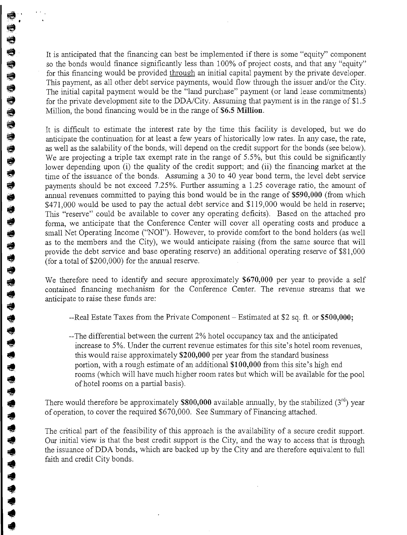It is anticipated that the financing can best be implemented if there is some "equity" component so the bonds would finance significantly less than 100% of project costs, and that any "equity" for this financing would be provided through an initial capital payment by the private developer. This payment, as all other debt service payments, would flow through the issuer and/or the City. The initial capital payment would be the "land purchase" payment (or land lease commitments) for the private development site to the DDA/City. Assuming that payment is in the range of  $$1.5$ Million, the bond financing would be in the range of **\$6.5 Million.** 

きききききききききき

€ Ú  $\ddot{\bullet}$  $\ddot{\bullet}$ 

ちちらもちゃうもうたちきききききききききききょう

It is difficult to estimate the interest rate by the time this facility is developed, but we do anticipate the continuation for at least a few years of historically low rates. In any case, the rate, as well as the salability of the bonds, will depend on the credit support for the bonds (see below). We are projecting a triple tax exempt rate in the range of 5.5%, but this could be significantly lower depending upon (i) the quality of the credit support; and (ii) the financing market at the time of the issuance of the bonds. Assuming a 30 to 40 year bond term, the level debt service payments should be not exceed  $7.25\%$ . Further assuming a 1.25 coverage ratio, the amount of annual revenues committed to paying this bond would be in the range of **\$590,000** (from which \$471,000 would be used to pay the actual debt service and \$119,000 would be held in reserve; This "reserve" could be available to cover any operating deficits). Based on the attached pro forma, we anticipate that the Conference Center will cover all operating costs and produce a small Net Operating Income ("NOI"). However, to provide comfort to the bond holders (as well as to the members and the City), we would anticipate raising (from the same source that will provide the debt service and base operating reserve) an additional operating reserve of \$8 1,000 (for a total of \$200,000) for the annual reserve.

We therefore need to identify and secure approximately **\$670,000** per year to provide a self contained financing mechanism for the Conference Center. The revenue streams that we anticipate to raise these funds are:

- --Real Estate Taxes from the Private Component Estimated at \$2 sq. ft. or **\$500,000;**
- --The differential between the current 2% hotel occupancy tax and the anticipated increase to 5%. Under the current revenue estimates for this site's hotel room revenues, this would raise approximately \$200,000 per year from the standard business portion, with a rough estimate of an additional \$100,000 from this site's high end rooms (which will have much higher room rates but which will be available for the pool of hotel rooms on a partial basis).

There would therefore be approximately **\$800,000** available annually, by the stabilized (3'd) year of operation, to cover the required \$670,000. See Summary of Financing attached.

The critical part of the feasibility of this approach is the availability of a secure credit support. Our initial view is that the best credit support is the City, and the way to access that is through the issuance of DDA bonds, which are backed up by the City and are therefore equivalent to full faith and credit City bonds.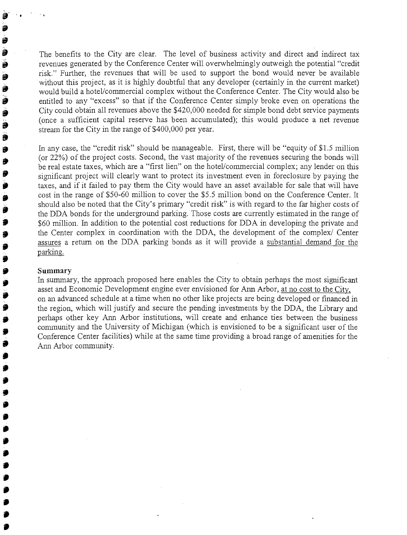The benefits to the City are clear. The level of business activity and direct and indirect tax revenues generated by the Conference Center will overwhelmingly outweigh the potential "credit" risk." Further, the revenues that will be used to support the bond would never be available without this project, as it is highly doubtful that any developer (certainly in the current market) would build a hotel/commercial complex without the Conference Center. The City would also be entitled to any "excess" so that if the Conference Center simply broke even on operations the City could obtain all revenues above the \$420,000 needed for simple bond debt service payments (once a sufficient capital reserve has been accumulated); this would produce a net revenue stream for the City in the range of \$400,000 per year.

In any case, the "credit risk" should be manageable. First, there will be "equity of \$1.5 million" (or 22%) of the project costs. Second, the vast majority of the revenues securing the bonds will be real estate taxes, which are a "first lien" on the hotel/commercial complex; any lender on this significant project will clearly want to protect its investment even in foreclosure by paying the taxes, and if it failed to pay them the City would have an asset available for sale that will have cost in the range of \$50-60 million to cover the \$5.5 million bond on the Conference Center. It should also be noted that the City's primary "credit risk" is with regard to the far higher costs of the DDA bonds for the underground parking. Those costs are currently estimated in the range of \$60 million. In addition to the potential cost reductions for DDA in developing the private and the Center complex in coordination with the DDA, the development of the complex/ Center assures a return on the DDA parking bonds as it will provide a substantial demand for the parking.

#### **Summary**

â j Û Đ Î Ő Î ð Ì Ð 9 Ð Э

Ď D

9

ŷ €

In sumnary, the approach proposed here enables the City to obtain perhaps the most significant asset and Economic Development engine ever envisioned for Ann Arbor, at no cost to the City, on an advanced schedule at a time when no other like projects are being developed or financed in the region, which will justify and secure the pending investments by the DDA, the Library and perhaps other key Ann Arbor institutions, will create and enhance ties between the business community and the University of Michigan (which is envisioned to be a significant user of the Conference Center facilities) while at the same time providing a broad range of amenities for the Ann Arbor community.